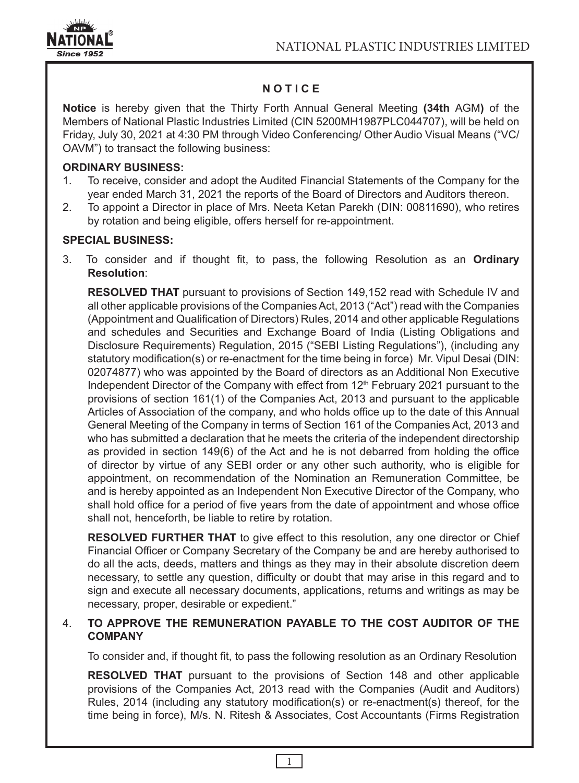

# **N O T I C E**

**Notice** is hereby given that the Thirty Forth Annual General Meeting **(34th** AGM**)** of the Members of National Plastic Industries Limited (CIN 5200MH1987PLC044707), will be held on Friday, July 30, 2021 at 4:30 PM through Video Conferencing/ Other Audio Visual Means ("VC/ OAVM") to transact the following business:

### **ORDINARY BUSINESS:**

- 1. To receive, consider and adopt the Audited Financial Statements of the Company for the year ended March 31, 2021 the reports of the Board of Directors and Auditors thereon.
- 2. To appoint a Director in place of Mrs. Neeta Ketan Parekh (DIN: 00811690), who retires by rotation and being eligible, offers herself for re-appointment.

### **SPECIAL BUSINESS:**

3. To consider and if thought fit, to pass, the following Resolution as an **Ordinary Resolution**:

**RESOLVED THAT** pursuant to provisions of Section 149,152 read with Schedule IV and all other applicable provisions of the Companies Act, 2013 ("Act") read with the Companies (Appointment and Qualification of Directors) Rules, 2014 and other applicable Regulations and schedules and Securities and Exchange Board of India (Listing Obligations and Disclosure Requirements) Regulation, 2015 ("SEBI Listing Regulations"), (including any statutory modification(s) or re-enactment for the time being in force) Mr. Vipul Desai (DIN: 02074877) who was appointed by the Board of directors as an Additional Non Executive Independent Director of the Company with effect from  $12<sup>th</sup>$  February 2021 pursuant to the provisions of section 161(1) of the Companies Act, 2013 and pursuant to the applicable Articles of Association of the company, and who holds office up to the date of this Annual General Meeting of the Company in terms of Section 161 of the Companies Act, 2013 and who has submitted a declaration that he meets the criteria of the independent directorship as provided in section 149(6) of the Act and he is not debarred from holding the office of director by virtue of any SEBI order or any other such authority, who is eligible for appointment, on recommendation of the Nomination an Remuneration Committee, be and is hereby appointed as an Independent Non Executive Director of the Company, who shall hold office for a period of five years from the date of appointment and whose office shall not, henceforth, be liable to retire by rotation.

**RESOLVED FURTHER THAT** to give effect to this resolution, any one director or Chief Financial Officer or Company Secretary of the Company be and are hereby authorised to do all the acts, deeds, matters and things as they may in their absolute discretion deem necessary, to settle any question, difficulty or doubt that may arise in this regard and to sign and execute all necessary documents, applications, returns and writings as may be necessary, proper, desirable or expedient."

### 4. **TO APPROVE THE REMUNERATION PAYABLE TO THE COST AUDITOR OF THE COMPANY**

To consider and, if thought fit, to pass the following resolution as an Ordinary Resolution

**RESOLVED THAT** pursuant to the provisions of Section 148 and other applicable provisions of the Companies Act, 2013 read with the Companies (Audit and Auditors) Rules, 2014 (including any statutory modification(s) or re-enactment(s) thereof, for the time being in force), M/s. N. Ritesh & Associates, Cost Accountants (Firms Registration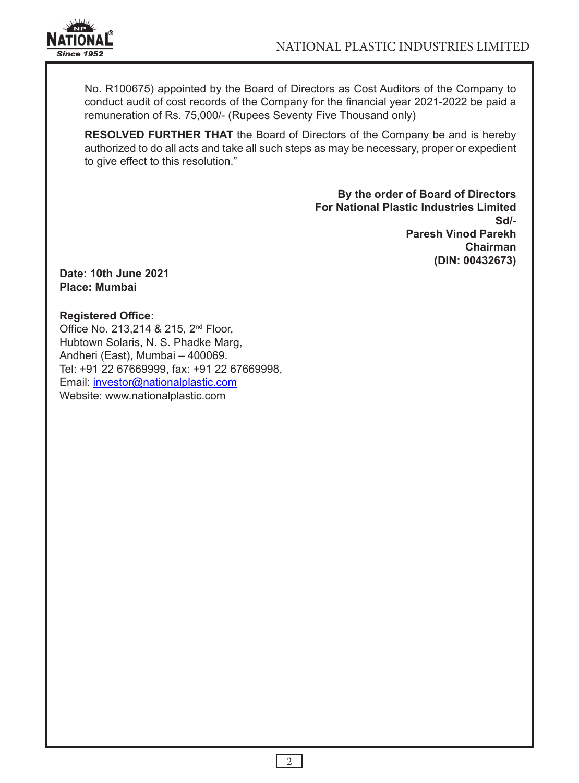

No. R100675) appointed by the Board of Directors as Cost Auditors of the Company to conduct audit of cost records of the Company for the financial year 2021-2022 be paid a remuneration of Rs. 75,000/- (Rupees Seventy Five Thousand only)

**RESOLVED FURTHER THAT** the Board of Directors of the Company be and is hereby authorized to do all acts and take all such steps as may be necessary, proper or expedient to give effect to this resolution."

> **By the order of Board of Directors For National Plastic Industries Limited Sd/- Paresh Vinod Parekh Chairman (DIN: 00432673)**

**Date: 10th June 2021 Place: Mumbai**

### **Registered Office:**

Office No. 213,214 & 215, 2<sup>nd</sup> Floor, Hubtown Solaris, N. S. Phadke Marg, Andheri (East), Mumbai – 400069. Tel: +91 22 67669999, fax: +91 22 67669998, Email: investor@nationalplastic.com Website: www.nationalplastic.com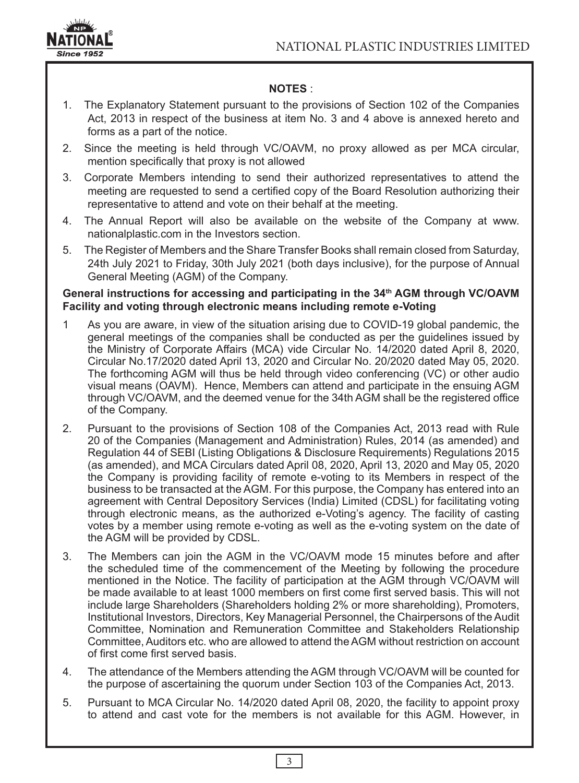

## **NOTES** :

- 1. The Explanatory Statement pursuant to the provisions of Section 102 of the Companies Act, 2013 in respect of the business at item No. 3 and 4 above is annexed hereto and forms as a part of the notice.
- 2. Since the meeting is held through VC/OAVM, no proxy allowed as per MCA circular, mention specifically that proxy is not allowed
- 3. Corporate Members intending to send their authorized representatives to attend the meeting are requested to send a certified copy of the Board Resolution authorizing their representative to attend and vote on their behalf at the meeting.
- 4. The Annual Report will also be available on the website of the Company at www. nationalplastic.com in the Investors section.
- 5. The Register of Members and the Share Transfer Books shall remain closed from Saturday, 24th July 2021 to Friday, 30th July 2021 (both days inclusive), for the purpose of Annual General Meeting (AGM) of the Company.

### General instructions for accessing and participating in the 34<sup>th</sup> AGM through VC/OAVM **Facility and voting through electronic means including remote e-Voting**

- 1 As you are aware, in view of the situation arising due to COVID-19 global pandemic, the general meetings of the companies shall be conducted as per the guidelines issued by the Ministry of Corporate Affairs (MCA) vide Circular No. 14/2020 dated April 8, 2020, Circular No.17/2020 dated April 13, 2020 and Circular No. 20/2020 dated May 05, 2020. The forthcoming AGM will thus be held through video conferencing (VC) or other audio visual means (OAVM). Hence, Members can attend and participate in the ensuing AGM through VC/OAVM, and the deemed venue for the 34th AGM shall be the registered office of the Company.
- 2. Pursuant to the provisions of Section 108 of the Companies Act, 2013 read with Rule 20 of the Companies (Management and Administration) Rules, 2014 (as amended) and Regulation 44 of SEBI (Listing Obligations & Disclosure Requirements) Regulations 2015 (as amended), and MCA Circulars dated April 08, 2020, April 13, 2020 and May 05, 2020 the Company is providing facility of remote e-voting to its Members in respect of the business to be transacted at the AGM. For this purpose, the Company has entered into an agreement with Central Depository Services (India) Limited (CDSL) for facilitating voting through electronic means, as the authorized e-Voting's agency. The facility of casting votes by a member using remote e-voting as well as the e-voting system on the date of the AGM will be provided by CDSL.
- 3. The Members can join the AGM in the VC/OAVM mode 15 minutes before and after the scheduled time of the commencement of the Meeting by following the procedure mentioned in the Notice. The facility of participation at the AGM through VC/OAVM will be made available to at least 1000 members on first come first served basis. This will not include large Shareholders (Shareholders holding 2% or more shareholding), Promoters, Institutional Investors, Directors, Key Managerial Personnel, the Chairpersons of the Audit Committee, Nomination and Remuneration Committee and Stakeholders Relationship Committee, Auditors etc. who are allowed to attend the AGM without restriction on account of first come first served basis.
- 4. The attendance of the Members attending the AGM through VC/OAVM will be counted for the purpose of ascertaining the quorum under Section 103 of the Companies Act, 2013.
- 5. Pursuant to MCA Circular No. 14/2020 dated April 08, 2020, the facility to appoint proxy to attend and cast vote for the members is not available for this AGM. However, in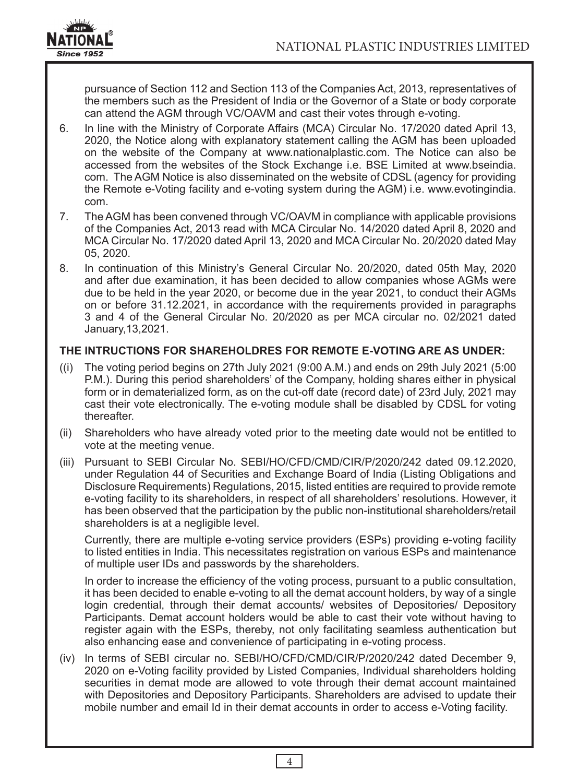

pursuance of Section 112 and Section 113 of the Companies Act, 2013, representatives of the members such as the President of India or the Governor of a State or body corporate can attend the AGM through VC/OAVM and cast their votes through e-voting.

- 6. In line with the Ministry of Corporate Affairs (MCA) Circular No. 17/2020 dated April 13, 2020, the Notice along with explanatory statement calling the AGM has been uploaded on the website of the Company at www.nationalplastic.com. The Notice can also be accessed from the websites of the Stock Exchange i.e. BSE Limited at www.bseindia. com. The AGM Notice is also disseminated on the website of CDSL (agency for providing the Remote e-Voting facility and e-voting system during the AGM) i.e. www.evotingindia. com.
- 7. The AGM has been convened through VC/OAVM in compliance with applicable provisions of the Companies Act, 2013 read with MCA Circular No. 14/2020 dated April 8, 2020 and MCA Circular No. 17/2020 dated April 13, 2020 and MCA Circular No. 20/2020 dated May 05, 2020.
- 8. In continuation of this Ministry's General Circular No. 20/2020, dated 05th May, 2020 and after due examination, it has been decided to allow companies whose AGMs were due to be held in the year 2020, or become due in the year 2021, to conduct their AGMs on or before 31.12.2021, in accordance with the requirements provided in paragraphs 3 and 4 of the General Circular No. 20/2020 as per MCA circular no. 02/2021 dated January,13,2021.

### **THE INTRUCTIONS FOR SHAREHOLDRES FOR REMOTE E-VOTING ARE AS UNDER:**

- ((i) The voting period begins on 27th July 2021 (9:00 A.M.) and ends on 29th July 2021 (5:00 P.M.). During this period shareholders' of the Company, holding shares either in physical form or in dematerialized form, as on the cut-off date (record date) of 23rd July, 2021 may cast their vote electronically. The e-voting module shall be disabled by CDSL for voting thereafter.
- (ii) Shareholders who have already voted prior to the meeting date would not be entitled to vote at the meeting venue.
- (iii) Pursuant to SEBI Circular No. SEBI/HO/CFD/CMD/CIR/P/2020/242 dated 09.12.2020, under Regulation 44 of Securities and Exchange Board of India (Listing Obligations and Disclosure Requirements) Regulations, 2015, listed entities are required to provide remote e-voting facility to its shareholders, in respect of all shareholders' resolutions. However, it has been observed that the participation by the public non-institutional shareholders/retail shareholders is at a negligible level.

Currently, there are multiple e-voting service providers (ESPs) providing e-voting facility to listed entities in India. This necessitates registration on various ESPs and maintenance of multiple user IDs and passwords by the shareholders.

In order to increase the efficiency of the voting process, pursuant to a public consultation, it has been decided to enable e-voting to all the demat account holders, by way of a single login credential, through their demat accounts/ websites of Depositories/ Depository Participants. Demat account holders would be able to cast their vote without having to register again with the ESPs, thereby, not only facilitating seamless authentication but also enhancing ease and convenience of participating in e-voting process.

(iv) In terms of SEBI circular no. SEBI/HO/CFD/CMD/CIR/P/2020/242 dated December 9, 2020 on e-Voting facility provided by Listed Companies, Individual shareholders holding securities in demat mode are allowed to vote through their demat account maintained with Depositories and Depository Participants. Shareholders are advised to update their mobile number and email Id in their demat accounts in order to access e-Voting facility.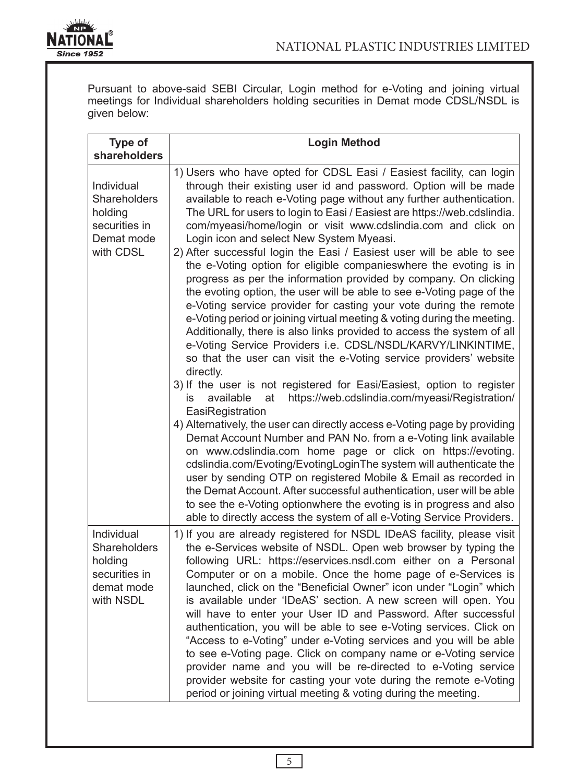

Pursuant to above-said SEBI Circular, Login method for e-Voting and joining virtual meetings for Individual shareholders holding securities in Demat mode CDSL/NSDL is given below:

| <b>Type of</b><br>shareholders                                                    | <b>Login Method</b>                                                                                                                                                                                                                                                                                                                                                                                                                                                                                                                                                                                                                                                                                                                                                                                                                                                                                                                                                                                                                                                                                                                                                                                                                                                                                                                                                                                                                                                                                                                                                                                                                                                                                                                                                                                                                     |
|-----------------------------------------------------------------------------------|-----------------------------------------------------------------------------------------------------------------------------------------------------------------------------------------------------------------------------------------------------------------------------------------------------------------------------------------------------------------------------------------------------------------------------------------------------------------------------------------------------------------------------------------------------------------------------------------------------------------------------------------------------------------------------------------------------------------------------------------------------------------------------------------------------------------------------------------------------------------------------------------------------------------------------------------------------------------------------------------------------------------------------------------------------------------------------------------------------------------------------------------------------------------------------------------------------------------------------------------------------------------------------------------------------------------------------------------------------------------------------------------------------------------------------------------------------------------------------------------------------------------------------------------------------------------------------------------------------------------------------------------------------------------------------------------------------------------------------------------------------------------------------------------------------------------------------------------|
| Individual<br>Shareholders<br>holding<br>securities in<br>Demat mode<br>with CDSL | 1) Users who have opted for CDSL Easi / Easiest facility, can login<br>through their existing user id and password. Option will be made<br>available to reach e-Voting page without any further authentication.<br>The URL for users to login to Easi / Easiest are https://web.cdslindia.<br>com/myeasi/home/login or visit www.cdslindia.com and click on<br>Login icon and select New System Myeasi.<br>2) After successful login the Easi / Easiest user will be able to see<br>the e-Voting option for eligible companieswhere the evoting is in<br>progress as per the information provided by company. On clicking<br>the evoting option, the user will be able to see e-Voting page of the<br>e-Voting service provider for casting your vote during the remote<br>e-Voting period or joining virtual meeting & voting during the meeting.<br>Additionally, there is also links provided to access the system of all<br>e-Voting Service Providers i.e. CDSL/NSDL/KARVY/LINKINTIME,<br>so that the user can visit the e-Voting service providers' website<br>directly.<br>3) If the user is not registered for Easi/Easiest, option to register<br>available<br>https://web.cdslindia.com/myeasi/Registration/<br>at<br>is<br>EasiRegistration<br>4) Alternatively, the user can directly access e-Voting page by providing<br>Demat Account Number and PAN No. from a e-Voting link available<br>on www.cdslindia.com home page or click on https://evoting.<br>cdslindia.com/Evoting/EvotingLoginThe system will authenticate the<br>user by sending OTP on registered Mobile & Email as recorded in<br>the Demat Account. After successful authentication, user will be able<br>to see the e-Voting optionwhere the evoting is in progress and also<br>able to directly access the system of all e-Voting Service Providers. |
| Individual<br>Shareholders<br>holding<br>securities in<br>demat mode<br>with NSDL | 1) If you are already registered for NSDL IDeAS facility, please visit<br>the e-Services website of NSDL. Open web browser by typing the<br>following URL: https://eservices.nsdl.com either on a Personal<br>Computer or on a mobile. Once the home page of e-Services is<br>launched, click on the "Beneficial Owner" icon under "Login" which<br>is available under 'IDeAS' section. A new screen will open. You<br>will have to enter your User ID and Password. After successful<br>authentication, you will be able to see e-Voting services. Click on<br>"Access to e-Voting" under e-Voting services and you will be able<br>to see e-Voting page. Click on company name or e-Voting service<br>provider name and you will be re-directed to e-Voting service<br>provider website for casting your vote during the remote e-Voting<br>period or joining virtual meeting & voting during the meeting.                                                                                                                                                                                                                                                                                                                                                                                                                                                                                                                                                                                                                                                                                                                                                                                                                                                                                                                            |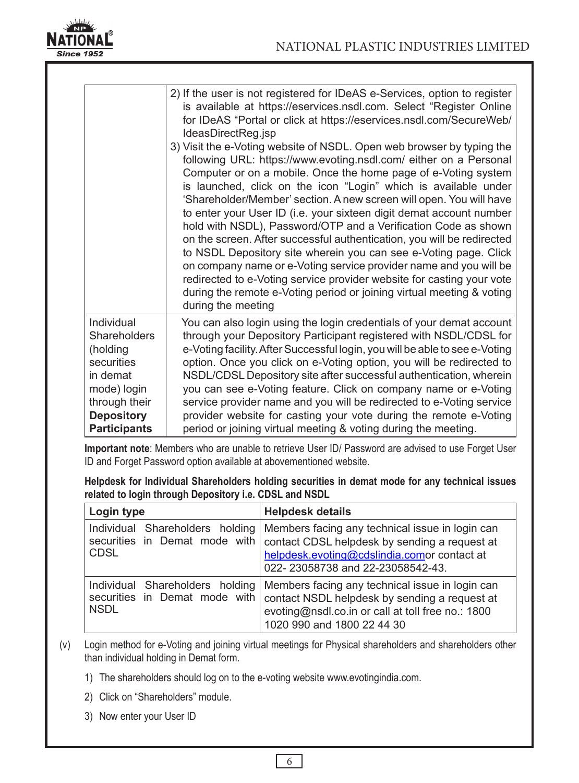

|                                                                                                                                | 2) If the user is not registered for IDeAS e-Services, option to register<br>is available at https://eservices.nsdl.com. Select "Register Online<br>for IDeAS "Portal or click at https://eservices.nsdl.com/SecureWeb/<br>IdeasDirectReg.jsp<br>3) Visit the e-Voting website of NSDL. Open web browser by typing the<br>following URL: https://www.evoting.nsdl.com/ either on a Personal<br>Computer or on a mobile. Once the home page of e-Voting system<br>is launched, click on the icon "Login" which is available under<br>'Shareholder/Member' section. A new screen will open. You will have<br>to enter your User ID (i.e. your sixteen digit demat account number<br>hold with NSDL), Password/OTP and a Verification Code as shown<br>on the screen. After successful authentication, you will be redirected<br>to NSDL Depository site wherein you can see e-Voting page. Click<br>on company name or e-Voting service provider name and you will be<br>redirected to e-Voting service provider website for casting your vote |
|--------------------------------------------------------------------------------------------------------------------------------|----------------------------------------------------------------------------------------------------------------------------------------------------------------------------------------------------------------------------------------------------------------------------------------------------------------------------------------------------------------------------------------------------------------------------------------------------------------------------------------------------------------------------------------------------------------------------------------------------------------------------------------------------------------------------------------------------------------------------------------------------------------------------------------------------------------------------------------------------------------------------------------------------------------------------------------------------------------------------------------------------------------------------------------------|
| Individual                                                                                                                     | during the remote e-Voting period or joining virtual meeting & voting<br>during the meeting<br>You can also login using the login credentials of your demat account                                                                                                                                                                                                                                                                                                                                                                                                                                                                                                                                                                                                                                                                                                                                                                                                                                                                          |
| Shareholders<br>(holding<br>securities<br>in demat<br>mode) login<br>through their<br><b>Depository</b><br><b>Participants</b> | through your Depository Participant registered with NSDL/CDSL for<br>e-Voting facility. After Successful login, you will be able to see e-Voting<br>option. Once you click on e-Voting option, you will be redirected to<br>NSDL/CDSL Depository site after successful authentication, wherein<br>you can see e-Voting feature. Click on company name or e-Voting<br>service provider name and you will be redirected to e-Voting service<br>provider website for casting your vote during the remote e-Voting<br>period or joining virtual meeting & voting during the meeting.                                                                                                                                                                                                                                                                                                                                                                                                                                                             |

**Important note**: Members who are unable to retrieve User ID/ Password are advised to use Forget User ID and Forget Password option available at abovementioned website.

**Helpdesk for Individual Shareholders holding securities in demat mode for any technical issues related to login through Depository i.e. CDSL and NSDL**

| Login type                                                                      | <b>Helpdesk details</b>                                                                                                                                                             |
|---------------------------------------------------------------------------------|-------------------------------------------------------------------------------------------------------------------------------------------------------------------------------------|
| Individual Shareholders holding<br>securities in Demat mode with<br><b>CDSL</b> | Members facing any technical issue in login can<br>contact CDSL helpdesk by sending a request at<br>helpdesk.evoting@cdslindia.comor contact at<br>022-23058738 and 22-23058542-43. |
| Individual Shareholders holding<br>securities in Demat mode with<br><b>NSDL</b> | Members facing any technical issue in login can<br>contact NSDL helpdesk by sending a request at<br>evoting@nsdl.co.in or call at toll free no.: 1800<br>1020 990 and 1800 22 44 30 |

(v) Login method for e-Voting and joining virtual meetings for Physical shareholders and shareholders other than individual holding in Demat form.

- 1) The shareholders should log on to the e-voting website www.evotingindia.com.
- 2) Click on "Shareholders" module.
- 3) Now enter your User ID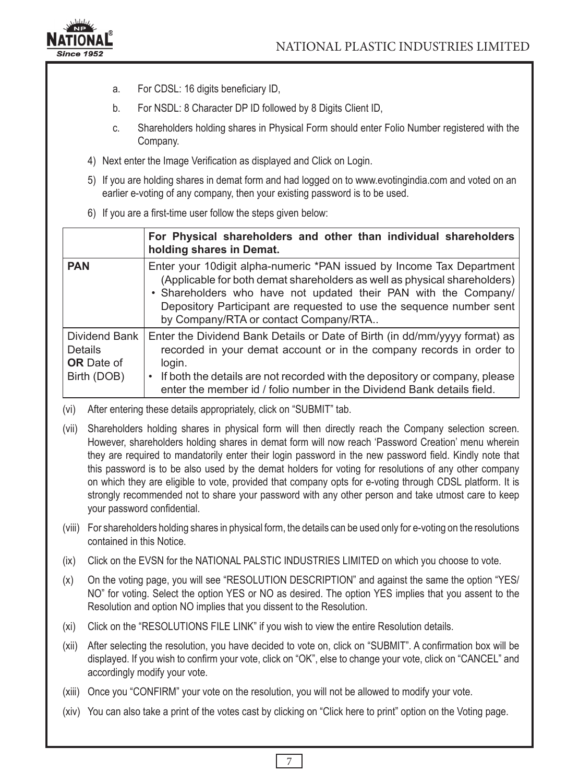

- a. For CDSL: 16 digits beneficiary ID,
- b. For NSDL: 8 Character DP ID followed by 8 Digits Client ID,
- c. Shareholders holding shares in Physical Form should enter Folio Number registered with the Company.
- 4) Next enter the Image Verification as displayed and Click on Login.
- 5) If you are holding shares in demat form and had logged on to www.evotingindia.com and voted on an earlier e-voting of any company, then your existing password is to be used.
- 6) If you are a first-time user follow the steps given below:

|                                                              | For Physical shareholders and other than individual shareholders<br>holding shares in Demat.                                                                                                                                                                                                                                            |
|--------------------------------------------------------------|-----------------------------------------------------------------------------------------------------------------------------------------------------------------------------------------------------------------------------------------------------------------------------------------------------------------------------------------|
| <b>PAN</b>                                                   | Enter your 10 digit alpha-numeric *PAN issued by Income Tax Department<br>(Applicable for both demat shareholders as well as physical shareholders)<br>. Shareholders who have not updated their PAN with the Company/<br>Depository Participant are requested to use the sequence number sent<br>by Company/RTA or contact Company/RTA |
| Dividend Bank<br>Details<br><b>OR</b> Date of<br>Birth (DOB) | Enter the Dividend Bank Details or Date of Birth (in dd/mm/yyyy format) as<br>recorded in your demat account or in the company records in order to<br>login.<br>If both the details are not recorded with the depository or company, please<br>enter the member id / folio number in the Dividend Bank details field.                   |

- (vi) After entering these details appropriately, click on "SUBMIT" tab.
- (vii) Shareholders holding shares in physical form will then directly reach the Company selection screen. However, shareholders holding shares in demat form will now reach 'Password Creation' menu wherein they are required to mandatorily enter their login password in the new password field. Kindly note that this password is to be also used by the demat holders for voting for resolutions of any other company on which they are eligible to vote, provided that company opts for e-voting through CDSL platform. It is strongly recommended not to share your password with any other person and take utmost care to keep your password confidential.
- (viii) For shareholders holding shares in physical form, the details can be used only for e-voting on the resolutions contained in this Notice.
- (ix) Click on the EVSN for the NATIONAL PALSTIC INDUSTRIES LIMITED on which you choose to vote.
- (x) On the voting page, you will see "RESOLUTION DESCRIPTION" and against the same the option "YES/ NO" for voting. Select the option YES or NO as desired. The option YES implies that you assent to the Resolution and option NO implies that you dissent to the Resolution.
- (xi) Click on the "RESOLUTIONS FILE LINK" if you wish to view the entire Resolution details.
- (xii) After selecting the resolution, you have decided to vote on, click on "SUBMIT". A confirmation box will be displayed. If you wish to confirm your vote, click on "OK", else to change your vote, click on "CANCEL" and accordingly modify your vote.
- (xiii) Once you "CONFIRM" your vote on the resolution, you will not be allowed to modify your vote.
- (xiv) You can also take a print of the votes cast by clicking on "Click here to print" option on the Voting page.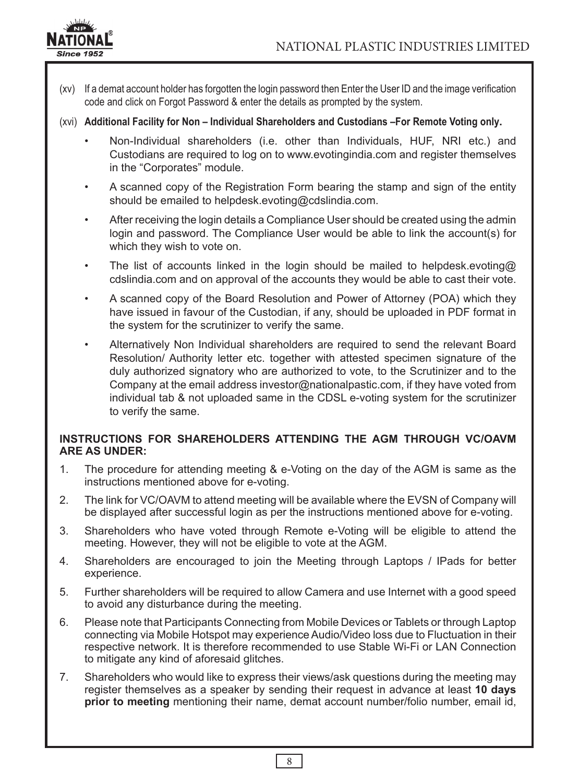

- (xv) If a demat account holder has forgotten the login password then Enter the User ID and the image verification code and click on Forgot Password & enter the details as prompted by the system.
- (xvi) **Additional Facility for Non Individual Shareholders and Custodians –For Remote Voting only.**
	- Non-Individual shareholders (i.e. other than Individuals, HUF, NRI etc.) and Custodians are required to log on to www.evotingindia.com and register themselves in the "Corporates" module.
	- A scanned copy of the Registration Form bearing the stamp and sign of the entity should be emailed to helpdesk.evoting@cdslindia.com.
	- After receiving the login details a Compliance User should be created using the admin login and password. The Compliance User would be able to link the account(s) for which they wish to vote on.
	- The list of accounts linked in the login should be mailed to helpdesk.evoting@ cdslindia.com and on approval of the accounts they would be able to cast their vote.
	- A scanned copy of the Board Resolution and Power of Attorney (POA) which they have issued in favour of the Custodian, if any, should be uploaded in PDF format in the system for the scrutinizer to verify the same.
	- Alternatively Non Individual shareholders are required to send the relevant Board Resolution/ Authority letter etc. together with attested specimen signature of the duly authorized signatory who are authorized to vote, to the Scrutinizer and to the Company at the email address investor@nationalpastic.com, if they have voted from individual tab & not uploaded same in the CDSL e-voting system for the scrutinizer to verify the same.

### **INSTRUCTIONS FOR SHAREHOLDERS ATTENDING THE AGM THROUGH VC/OAVM ARE AS UNDER:**

- 1. The procedure for attending meeting & e-Voting on the day of the AGM is same as the instructions mentioned above for e-voting.
- 2. The link for VC/OAVM to attend meeting will be available where the EVSN of Company will be displayed after successful login as per the instructions mentioned above for e-voting.
- 3. Shareholders who have voted through Remote e-Voting will be eligible to attend the meeting. However, they will not be eligible to vote at the AGM.
- 4. Shareholders are encouraged to join the Meeting through Laptops / IPads for better experience.
- 5. Further shareholders will be required to allow Camera and use Internet with a good speed to avoid any disturbance during the meeting.
- 6. Please note that Participants Connecting from Mobile Devices or Tablets or through Laptop connecting via Mobile Hotspot may experience Audio/Video loss due to Fluctuation in their respective network. It is therefore recommended to use Stable Wi-Fi or LAN Connection to mitigate any kind of aforesaid glitches.
- 7. Shareholders who would like to express their views/ask questions during the meeting may register themselves as a speaker by sending their request in advance at least **10 days prior to meeting** mentioning their name, demat account number/folio number, email id,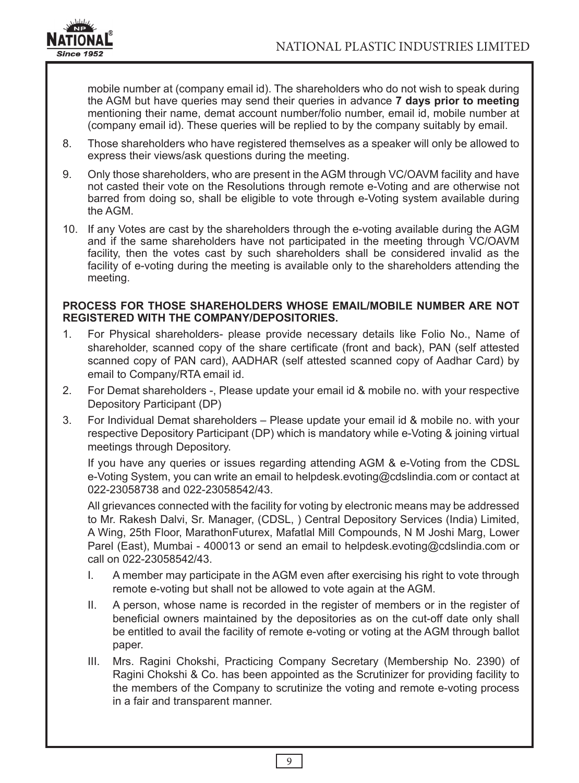

mobile number at (company email id). The shareholders who do not wish to speak during the AGM but have queries may send their queries in advance **7 days prior to meeting** mentioning their name, demat account number/folio number, email id, mobile number at (company email id). These queries will be replied to by the company suitably by email.

- 8. Those shareholders who have registered themselves as a speaker will only be allowed to express their views/ask questions during the meeting.
- 9. Only those shareholders, who are present in the AGM through VC/OAVM facility and have not casted their vote on the Resolutions through remote e-Voting and are otherwise not barred from doing so, shall be eligible to vote through e-Voting system available during the AGM.
- 10. If any Votes are cast by the shareholders through the e-voting available during the AGM and if the same shareholders have not participated in the meeting through VC/OAVM facility, then the votes cast by such shareholders shall be considered invalid as the facility of e-voting during the meeting is available only to the shareholders attending the meeting.

#### **PROCESS FOR THOSE SHAREHOLDERS WHOSE EMAIL/MOBILE NUMBER ARE NOT REGISTERED WITH THE COMPANY/DEPOSITORIES.**

- 1. For Physical shareholders- please provide necessary details like Folio No., Name of shareholder, scanned copy of the share certificate (front and back), PAN (self attested scanned copy of PAN card), AADHAR (self attested scanned copy of Aadhar Card) by email to Company/RTA email id.
- 2. For Demat shareholders -, Please update your email id & mobile no. with your respective Depository Participant (DP)
- 3. For Individual Demat shareholders Please update your email id & mobile no. with your respective Depository Participant (DP) which is mandatory while e-Voting & joining virtual meetings through Depository.

If you have any queries or issues regarding attending AGM & e-Voting from the CDSL e-Voting System, you can write an email to helpdesk.evoting@cdslindia.com or contact at 022-23058738 and 022-23058542/43.

All grievances connected with the facility for voting by electronic means may be addressed to Mr. Rakesh Dalvi, Sr. Manager, (CDSL, ) Central Depository Services (India) Limited, A Wing, 25th Floor, MarathonFuturex, Mafatlal Mill Compounds, N M Joshi Marg, Lower Parel (East), Mumbai - 400013 or send an email to helpdesk.evoting@cdslindia.com or call on 022-23058542/43.

- I. A member may participate in the AGM even after exercising his right to vote through remote e-voting but shall not be allowed to vote again at the AGM.
- II. A person, whose name is recorded in the register of members or in the register of beneficial owners maintained by the depositories as on the cut-off date only shall be entitled to avail the facility of remote e-voting or voting at the AGM through ballot paper.
- III. Mrs. Ragini Chokshi, Practicing Company Secretary (Membership No. 2390) of Ragini Chokshi & Co. has been appointed as the Scrutinizer for providing facility to the members of the Company to scrutinize the voting and remote e-voting process in a fair and transparent manner.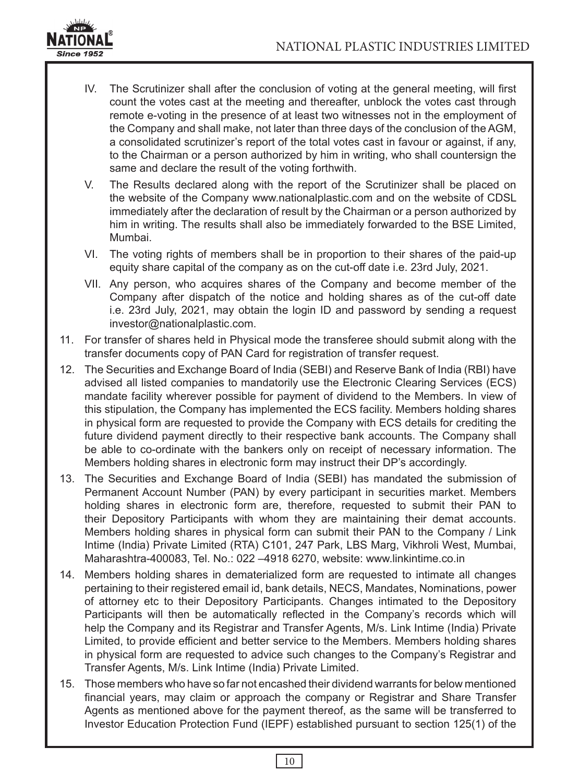

- IV. The Scrutinizer shall after the conclusion of voting at the general meeting, will first count the votes cast at the meeting and thereafter, unblock the votes cast through remote e-voting in the presence of at least two witnesses not in the employment of the Company and shall make, not later than three days of the conclusion of the AGM, a consolidated scrutinizer's report of the total votes cast in favour or against, if any, to the Chairman or a person authorized by him in writing, who shall countersign the same and declare the result of the voting forthwith.
- V. The Results declared along with the report of the Scrutinizer shall be placed on the website of the Company www.nationalplastic.com and on the website of CDSL immediately after the declaration of result by the Chairman or a person authorized by him in writing. The results shall also be immediately forwarded to the BSE Limited, Mumbai.
- VI. The voting rights of members shall be in proportion to their shares of the paid-up equity share capital of the company as on the cut-off date i.e. 23rd July, 2021.
- VII. Any person, who acquires shares of the Company and become member of the Company after dispatch of the notice and holding shares as of the cut-off date i.e. 23rd July, 2021, may obtain the login ID and password by sending a request investor@nationalplastic.com.
- 11. For transfer of shares held in Physical mode the transferee should submit along with the transfer documents copy of PAN Card for registration of transfer request.
- 12. The Securities and Exchange Board of India (SEBI) and Reserve Bank of India (RBI) have advised all listed companies to mandatorily use the Electronic Clearing Services (ECS) mandate facility wherever possible for payment of dividend to the Members. In view of this stipulation, the Company has implemented the ECS facility. Members holding shares in physical form are requested to provide the Company with ECS details for crediting the future dividend payment directly to their respective bank accounts. The Company shall be able to co-ordinate with the bankers only on receipt of necessary information. The Members holding shares in electronic form may instruct their DP's accordingly.
- 13. The Securities and Exchange Board of India (SEBI) has mandated the submission of Permanent Account Number (PAN) by every participant in securities market. Members holding shares in electronic form are, therefore, requested to submit their PAN to their Depository Participants with whom they are maintaining their demat accounts. Members holding shares in physical form can submit their PAN to the Company / Link Intime (India) Private Limited (RTA) C101, 247 Park, LBS Marg, Vikhroli West, Mumbai, Maharashtra-400083, Tel. No.: 022 –4918 6270, website: www.linkintime.co.in
- 14. Members holding shares in dematerialized form are requested to intimate all changes pertaining to their registered email id, bank details, NECS, Mandates, Nominations, power of attorney etc to their Depository Participants. Changes intimated to the Depository Participants will then be automatically reflected in the Company's records which will help the Company and its Registrar and Transfer Agents, M/s. Link Intime (India) Private Limited, to provide efficient and better service to the Members. Members holding shares in physical form are requested to advice such changes to the Company's Registrar and Transfer Agents, M/s. Link Intime (India) Private Limited.
- 15. Those members who have so far not encashed their dividend warrants for below mentioned financial years, may claim or approach the company or Registrar and Share Transfer Agents as mentioned above for the payment thereof, as the same will be transferred to Investor Education Protection Fund (IEPF) established pursuant to section 125(1) of the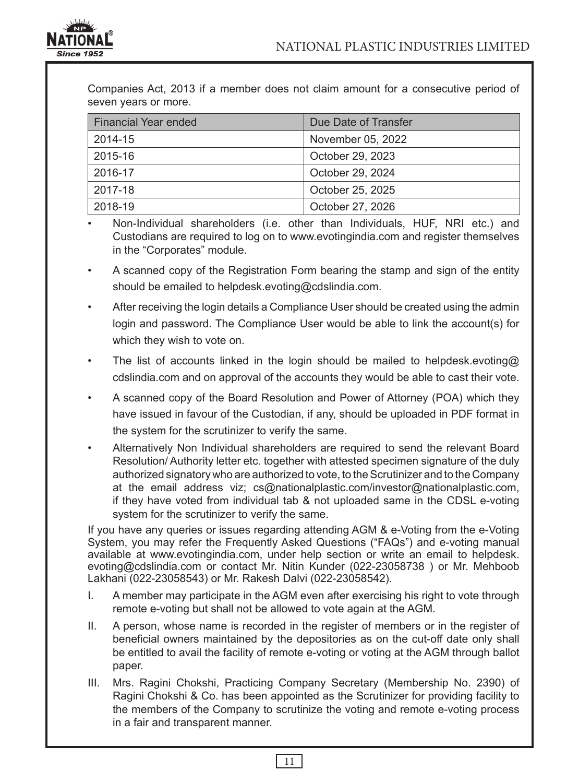

Companies Act, 2013 if a member does not claim amount for a consecutive period of seven years or more.

| <b>Financial Year ended</b> | Due Date of Transfer |  |
|-----------------------------|----------------------|--|
| 2014-15                     | November 05, 2022    |  |
| 2015-16                     | October 29, 2023     |  |
| 2016-17                     | October 29, 2024     |  |
| 2017-18                     | October 25, 2025     |  |
| 2018-19                     | October 27, 2026     |  |

• Non-Individual shareholders (i.e. other than Individuals, HUF, NRI etc.) and Custodians are required to log on to www.evotingindia.com and register themselves in the "Corporates" module.

- A scanned copy of the Registration Form bearing the stamp and sign of the entity should be emailed to helpdesk.evoting@cdslindia.com.
- After receiving the login details a Compliance User should be created using the admin login and password. The Compliance User would be able to link the account(s) for which they wish to vote on.
- The list of accounts linked in the login should be mailed to helpdesk.evoting@ cdslindia.com and on approval of the accounts they would be able to cast their vote.
- A scanned copy of the Board Resolution and Power of Attorney (POA) which they have issued in favour of the Custodian, if any, should be uploaded in PDF format in the system for the scrutinizer to verify the same.
- Alternatively Non Individual shareholders are required to send the relevant Board Resolution/ Authority letter etc. together with attested specimen signature of the duly authorized signatory who are authorized to vote, to the Scrutinizer and to the Company at the email address viz; cs@nationalplastic.com/investor@nationalplastic.com, if they have voted from individual tab & not uploaded same in the CDSL e-voting system for the scrutinizer to verify the same.

If you have any queries or issues regarding attending AGM & e-Voting from the e-Voting System, you may refer the Frequently Asked Questions ("FAQs") and e-voting manual available at www.evotingindia.com, under help section or write an email to helpdesk. evoting@cdslindia.com or contact Mr. Nitin Kunder (022-23058738 ) or Mr. Mehboob Lakhani (022-23058543) or Mr. Rakesh Dalvi (022-23058542).

- I. A member may participate in the AGM even after exercising his right to vote through remote e-voting but shall not be allowed to vote again at the AGM.
- II. A person, whose name is recorded in the register of members or in the register of beneficial owners maintained by the depositories as on the cut-off date only shall be entitled to avail the facility of remote e-voting or voting at the AGM through ballot paper.
- III. Mrs. Ragini Chokshi, Practicing Company Secretary (Membership No. 2390) of Ragini Chokshi & Co. has been appointed as the Scrutinizer for providing facility to the members of the Company to scrutinize the voting and remote e-voting process in a fair and transparent manner.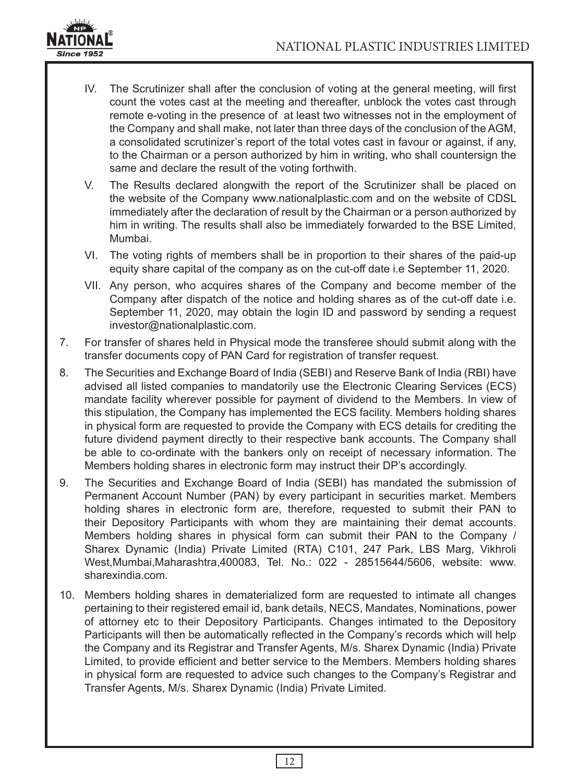

- IV. The Scrutinizer shall after the conclusion of voting at the general meeting, will first count the votes cast at the meeting and thereafter, unblock the votes cast through remote e-voting in the presence of at least two witnesses not in the employment of the Company and shall make, not later than three days of the conclusion of the AGM, a consolidated scrutinizer's report of the total votes cast in favour or against, if any, to the Chairman or a person authorized by him in writing, who shall countersign the same and declare the result of the voting forthwith.
- V. The Results declared alongwith the report of the Scrutinizer shall be placed on the website of the Company www.nationalplastic.com and on the website of CDSL immediately after the declaration of result by the Chairman or a person authorized by him in writing. The results shall also be immediately forwarded to the BSE Limited, Mumbai.
- VI. The voting rights of members shall be in proportion to their shares of the paid-up equity share capital of the company as on the cut-off date i.e September 11, 2020.
- VII. Any person, who acquires shares of the Company and become member of the Company after dispatch of the notice and holding shares as of the cut-off date i.e. September 11, 2020, may obtain the login ID and password by sending a request investor@nationalplastic.com.
- 7. For transfer of shares held in Physical mode the transferee should submit along with the transfer documents copy of PAN Card for registration of transfer request.
- 8. The Securities and Exchange Board of India (SEBI) and Reserve Bank of India (RBI) have advised all listed companies to mandatorily use the Electronic Clearing Services (ECS) mandate facility wherever possible for payment of dividend to the Members. In view of this stipulation, the Company has implemented the ECS facility. Members holding shares in physical form are requested to provide the Company with ECS details for crediting the future dividend payment directly to their respective bank accounts. The Company shall be able to co-ordinate with the bankers only on receipt of necessary information. The Members holding shares in electronic form may instruct their DP's accordingly.
- 9. The Securities and Exchange Board of India (SEBI) has mandated the submission of Permanent Account Number (PAN) by every participant in securities market. Members holding shares in electronic form are, therefore, requested to submit their PAN to their Depository Participants with whom they are maintaining their demat accounts. Members holding shares in physical form can submit their PAN to the Company / Sharex Dynamic (India) Private Limited (RTA) C101, 247 Park, LBS Marg, Vikhroli West,Mumbai,Maharashtra,400083, Tel. No.: 022 - 28515644/5606, website: www. sharexindia.com.
- 10. Members holding shares in dematerialized form are requested to intimate all changes pertaining to their registered email id, bank details, NECS, Mandates, Nominations, power of attorney etc to their Depository Participants. Changes intimated to the Depository Participants will then be automatically reflected in the Company's records which will help the Company and its Registrar and Transfer Agents, M/s. Sharex Dynamic (India) Private Limited, to provide efficient and better service to the Members. Members holding shares in physical form are requested to advice such changes to the Company's Registrar and Transfer Agents, M/s. Sharex Dynamic (India) Private Limited.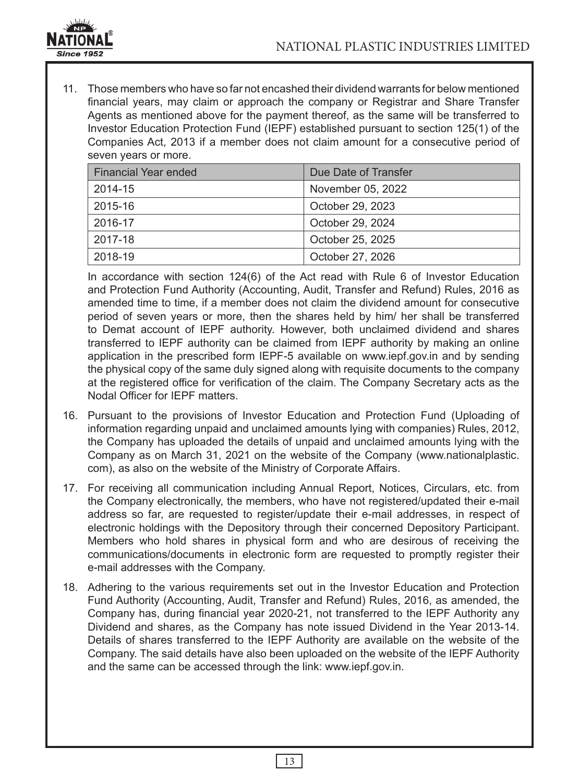

11. Those members who have so far not encashed their dividend warrants for below mentioned financial years, may claim or approach the company or Registrar and Share Transfer Agents as mentioned above for the payment thereof, as the same will be transferred to Investor Education Protection Fund (IEPF) established pursuant to section 125(1) of the Companies Act, 2013 if a member does not claim amount for a consecutive period of seven years or more.

| Financial Year ended | Due Date of Transfer |  |
|----------------------|----------------------|--|
| 2014-15              | November 05, 2022    |  |
| 2015-16              | October 29, 2023     |  |
| 2016-17              | October 29, 2024     |  |
| 2017-18              | October 25, 2025     |  |
| 2018-19              | October 27, 2026     |  |

In accordance with section 124(6) of the Act read with Rule 6 of Investor Education and Protection Fund Authority (Accounting, Audit, Transfer and Refund) Rules, 2016 as amended time to time, if a member does not claim the dividend amount for consecutive period of seven years or more, then the shares held by him/ her shall be transferred to Demat account of IEPF authority. However, both unclaimed dividend and shares transferred to IEPF authority can be claimed from IEPF authority by making an online application in the prescribed form IEPF-5 available on www.iepf.gov.in and by sending the physical copy of the same duly signed along with requisite documents to the company at the registered office for verification of the claim. The Company Secretary acts as the Nodal Officer for IEPF matters.

- 16. Pursuant to the provisions of Investor Education and Protection Fund (Uploading of information regarding unpaid and unclaimed amounts lying with companies) Rules, 2012, the Company has uploaded the details of unpaid and unclaimed amounts lying with the Company as on March 31, 2021 on the website of the Company (www.nationalplastic. com), as also on the website of the Ministry of Corporate Affairs.
- 17. For receiving all communication including Annual Report, Notices, Circulars, etc. from the Company electronically, the members, who have not registered/updated their e-mail address so far, are requested to register/update their e-mail addresses, in respect of electronic holdings with the Depository through their concerned Depository Participant. Members who hold shares in physical form and who are desirous of receiving the communications/documents in electronic form are requested to promptly register their e-mail addresses with the Company.
- 18. Adhering to the various requirements set out in the Investor Education and Protection Fund Authority (Accounting, Audit, Transfer and Refund) Rules, 2016, as amended, the Company has, during financial year 2020-21, not transferred to the IEPF Authority any Dividend and shares, as the Company has note issued Dividend in the Year 2013-14. Details of shares transferred to the IEPF Authority are available on the website of the Company. The said details have also been uploaded on the website of the IEPF Authority and the same can be accessed through the link: www.iepf.gov.in.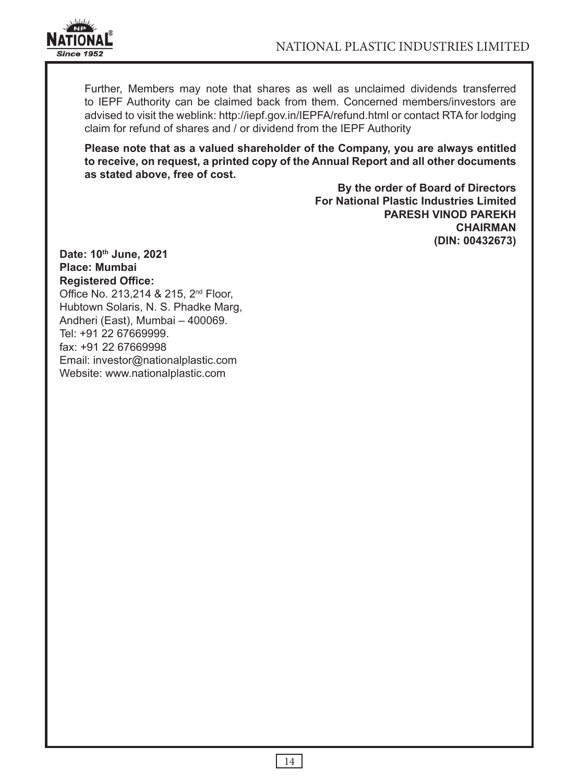

Further, Members may note that shares as well as unclaimed dividends transferred to IEPF Authority can be claimed back from them. Concerned members/investors are advised to visit the weblink: http://iepf.gov.in/IEPFA/refund.html or contact RTA for lodging claim for refund of shares and / or dividend from the IEPF Authority

**Please note that as a valued shareholder of the Company, you are always entitled to receive, on request, a printed copy of the Annual Report and all other documents as stated above, free of cost.**

> **By the order of Board of Directors For National Plastic Industries Limited PARESH VINOD PAREKH CHAIRMAN (DIN: 00432673)**

**Date: 10th June, 2021 Place: Mumbai Registered Office:** Office No. 213,214 & 215, 2<sup>nd</sup> Floor, Hubtown Solaris, N. S. Phadke Marg, Andheri (East), Mumbai – 400069. Tel: +91 22 67669999. fax: +91 22 67669998 Email: investor@nationalplastic.com Website: www.nationalplastic.com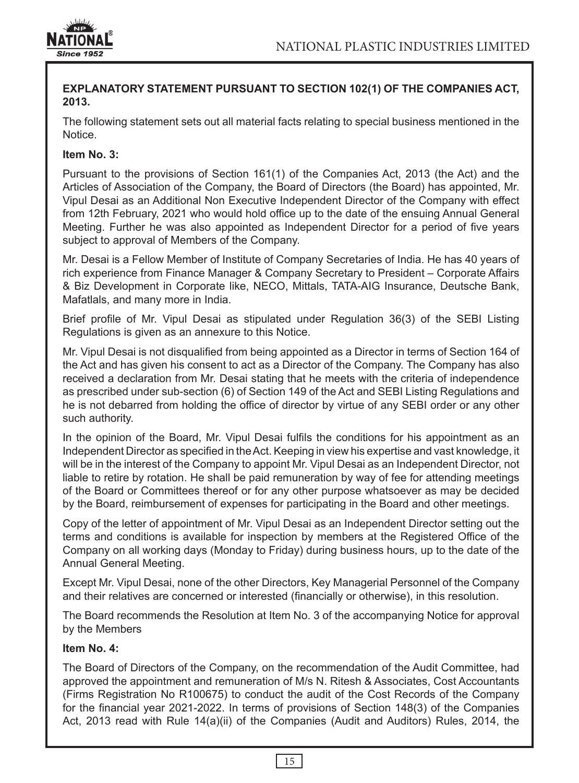

### **EXPLANATORY STATEMENT PURSUANT TO SECTION 102(1) OF THE COMPANIES ACT, 2013.**

The following statement sets out all material facts relating to special business mentioned in the Notice.

## **Item No. 3:**

Pursuant to the provisions of Section 161(1) of the Companies Act, 2013 (the Act) and the Articles of Association of the Company, the Board of Directors (the Board) has appointed, Mr. Vipul Desai as an Additional Non Executive Independent Director of the Company with effect from 12th February, 2021 who would hold office up to the date of the ensuing Annual General Meeting. Further he was also appointed as Independent Director for a period of five years subject to approval of Members of the Company.

Mr. Desai is a Fellow Member of Institute of Company Secretaries of India. He has 40 years of rich experience from Finance Manager & Company Secretary to President – Corporate Affairs & Biz Development in Corporate like, NECO, Mittals, TATA-AIG Insurance, Deutsche Bank, Mafatlals, and many more in India.

Brief profile of Mr. Vipul Desai as stipulated under Regulation 36(3) of the SEBI Listing Regulations is given as an annexure to this Notice.

Mr. Vipul Desai is not disqualified from being appointed as a Director in terms of Section 164 of the Act and has given his consent to act as a Director of the Company. The Company has also received a declaration from Mr. Desai stating that he meets with the criteria of independence as prescribed under sub-section (6) of Section 149 of the Act and SEBI Listing Regulations and he is not debarred from holding the office of director by virtue of any SEBI order or any other such authority.

In the opinion of the Board, Mr. Vipul Desai fulfils the conditions for his appointment as an Independent Director as specified in the Act. Keeping in view his expertise and vast knowledge, it will be in the interest of the Company to appoint Mr. Vipul Desai as an Independent Director, not liable to retire by rotation. He shall be paid remuneration by way of fee for attending meetings of the Board or Committees thereof or for any other purpose whatsoever as may be decided by the Board, reimbursement of expenses for participating in the Board and other meetings.

Copy of the letter of appointment of Mr. Vipul Desai as an Independent Director setting out the terms and conditions is available for inspection by members at the Registered Office of the Company on all working days (Monday to Friday) during business hours, up to the date of the Annual General Meeting.

Except Mr. Vipul Desai, none of the other Directors, Key Managerial Personnel of the Company and their relatives are concerned or interested (financially or otherwise), in this resolution.

The Board recommends the Resolution at Item No. 3 of the accompanying Notice for approval by the Members

### **Item No. 4:**

The Board of Directors of the Company, on the recommendation of the Audit Committee, had approved the appointment and remuneration of M/s N. Ritesh & Associates, Cost Accountants (Firms Registration No R100675) to conduct the audit of the Cost Records of the Company for the financial year 2021-2022. In terms of provisions of Section 148(3) of the Companies Act, 2013 read with Rule 14(a)(ii) of the Companies (Audit and Auditors) Rules, 2014, the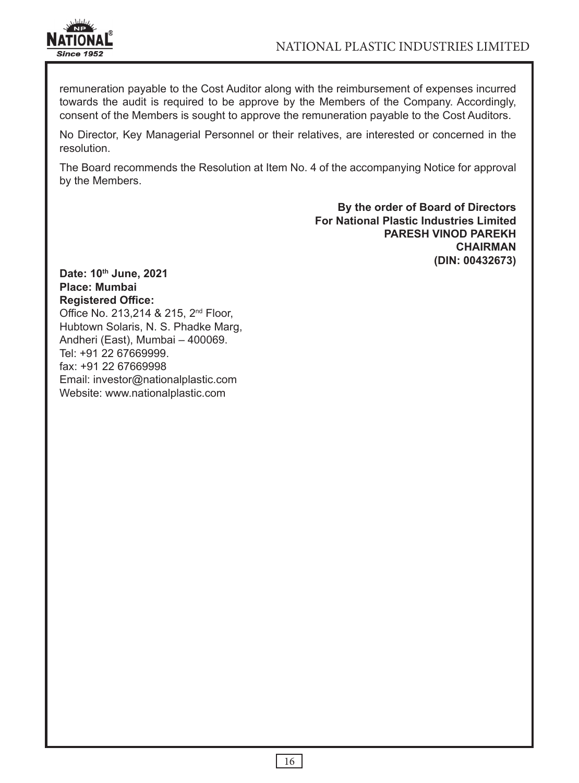

remuneration payable to the Cost Auditor along with the reimbursement of expenses incurred towards the audit is required to be approve by the Members of the Company. Accordingly, consent of the Members is sought to approve the remuneration payable to the Cost Auditors.

No Director, Key Managerial Personnel or their relatives, are interested or concerned in the resolution.

The Board recommends the Resolution at Item No. 4 of the accompanying Notice for approval by the Members.

> **By the order of Board of Directors For National Plastic Industries Limited PARESH VINOD PAREKH CHAIRMAN (DIN: 00432673)**

**Date: 10th June, 2021 Place: Mumbai Registered Office:** Office No. 213,214 & 215, 2<sup>nd</sup> Floor, Hubtown Solaris, N. S. Phadke Marg, Andheri (East), Mumbai – 400069. Tel: +91 22 67669999. fax: +91 22 67669998 Email: investor@nationalplastic.com Website: www.nationalplastic.com